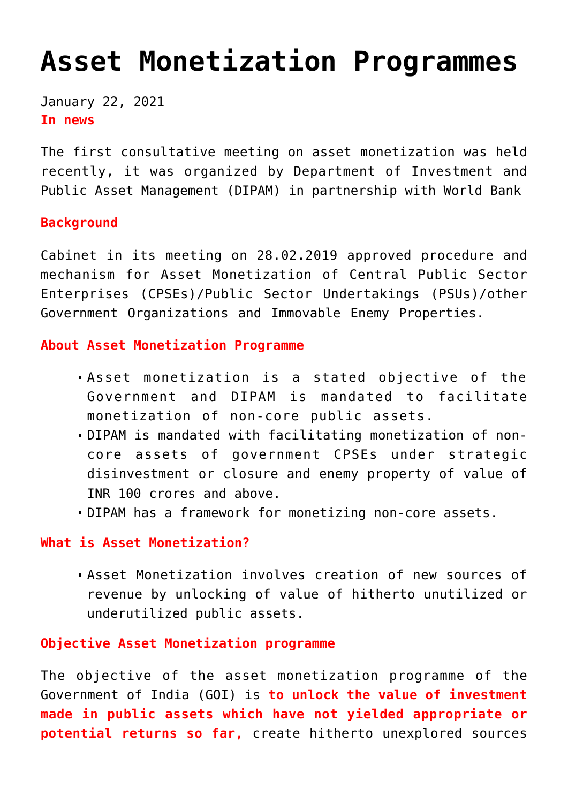# **[Asset Monetization Programmes](https://journalsofindia.com/asset-monetization-programmes/)**

January 22, 2021 **In news** 

The first consultative meeting on asset monetization was held recently, it was organized by Department of Investment and Public Asset Management (DIPAM) in partnership with World Bank

### **Background**

Cabinet in its meeting on 28.02.2019 approved procedure and mechanism for Asset Monetization of Central Public Sector Enterprises (CPSEs)/Public Sector Undertakings (PSUs)/other Government Organizations and Immovable Enemy Properties.

# **About Asset Monetization Programme**

- Asset monetization is a stated objective of the Government and DIPAM is mandated to facilitate monetization of non-core public assets.
- DIPAM is mandated with facilitating monetization of noncore assets of government CPSEs under strategic disinvestment or closure and enemy property of value of INR 100 crores and above.
- DIPAM has a framework for monetizing non-core assets.

#### **What is Asset Monetization?**

Asset Monetization involves creation of new sources of revenue by unlocking of value of hitherto unutilized or underutilized public assets.

### **Objective Asset Monetization programme**

The objective of the asset monetization programme of the Government of India (GOI) is **to unlock the value of investment made in public assets which have not yielded appropriate or potential returns so far,** create hitherto unexplored sources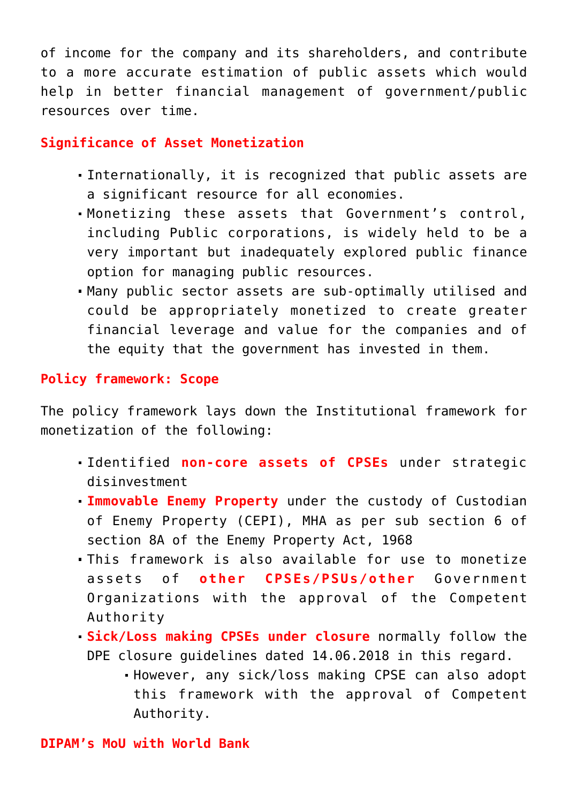of income for the company and its shareholders, and contribute to a more accurate estimation of public assets which would help in better financial management of government/public resources over time.

## **Significance of Asset Monetization**

- Internationally, it is recognized that public assets are a significant resource for all economies.
- Monetizing these assets that Government's control, including Public corporations, is widely held to be a very important but inadequately explored public finance option for managing public resources.
- Many public sector assets are sub-optimally utilised and could be appropriately monetized to create greater financial leverage and value for the companies and of the equity that the government has invested in them.

# **Policy framework: Scope**

The policy framework lays down the Institutional framework for monetization of the following:

- Identified **non-core assets of CPSEs** under strategic disinvestment
- **Immovable Enemy Property** under the custody of Custodian of Enemy Property (CEPI), MHA as per sub section 6 of section 8A of the Enemy Property Act, 1968
- This framework is also available for use to monetize assets of **other CPSEs/PSUs/other** Government Organizations with the approval of the Competent Authority
- **Sick/Loss making CPSEs under closure** normally follow the DPE closure guidelines dated 14.06.2018 in this regard.
	- However, any sick/loss making CPSE can also adopt this framework with the approval of Competent Authority.

### **DIPAM's MoU with World Bank**